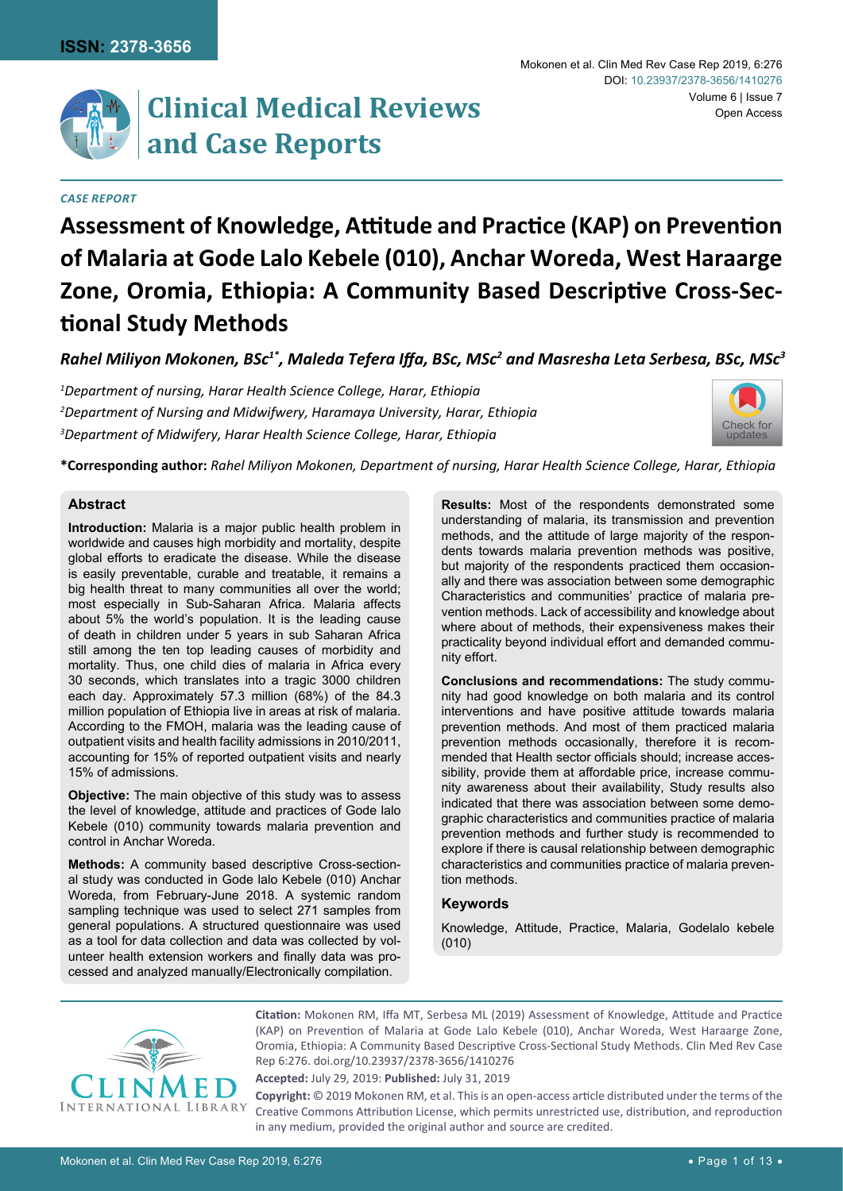

# **Clinical Medical Reviews and Case Reports**

#### *Case Report*

# **Assessment of Knowledge, Attitude and Practice (KAP) on Prevention of Malaria at Gode Lalo Kebele (010), Anchar Woreda, West Haraarge Zone, Oromia, Ethiopia: A Community Based Descriptive Cross-Sectional Study Methods**

*Rahel Miliyon Mokonen, BSc1\*, Maleda Tefera Iffa, BSc, MSc<sup>2</sup> and Masresha Leta Serbesa, BSc, MSc3*

*1 Department of nursing, Harar Health Science College, Harar, Ethiopia 2 Department of Nursing and Midwifwery, Haramaya University, Harar, Ethiopia 3 Department of Midwifery, Harar Health Science College, Harar, Ethiopia*



**\*Corresponding author:** *Rahel Miliyon Mokonen, Department of nursing, Harar Health Science College, Harar, Ethiopia*

## **Abstract**

**Introduction:** Malaria is a major public health problem in worldwide and causes high morbidity and mortality, despite global efforts to eradicate the disease. While the disease is easily preventable, curable and treatable, it remains a big health threat to many communities all over the world; most especially in Sub-Saharan Africa. Malaria affects about 5% the world's population. It is the leading cause of death in children under 5 years in sub Saharan Africa still among the ten top leading causes of morbidity and mortality. Thus, one child dies of malaria in Africa every 30 seconds, which translates into a tragic 3000 children each day. Approximately 57.3 million (68%) of the 84.3 million population of Ethiopia live in areas at risk of malaria. According to the FMOH, malaria was the leading cause of outpatient visits and health facility admissions in 2010/2011, accounting for 15% of reported outpatient visits and nearly 15% of admissions.

**Objective:** The main objective of this study was to assess the level of knowledge, attitude and practices of Gode lalo Kebele (010) community towards malaria prevention and control in Anchar Woreda.

**Methods:** A community based descriptive Cross-sectional study was conducted in Gode lalo Kebele (010) Anchar Woreda, from February-June 2018. A systemic random sampling technique was used to select 271 samples from general populations. A structured questionnaire was used as a tool for data collection and data was collected by volunteer health extension workers and finally data was processed and analyzed manually/Electronically compilation.

**Results:** Most of the respondents demonstrated some understanding of malaria, its transmission and prevention methods, and the attitude of large majority of the respondents towards malaria prevention methods was positive, but majority of the respondents practiced them occasionally and there was association between some demographic Characteristics and communities' practice of malaria prevention methods. Lack of accessibility and knowledge about where about of methods, their expensiveness makes their practicality beyond individual effort and demanded community effort.

**Conclusions and recommendations:** The study community had good knowledge on both malaria and its control interventions and have positive attitude towards malaria prevention methods. And most of them practiced malaria prevention methods occasionally, therefore it is recommended that Health sector officials should; increase accessibility, provide them at affordable price, increase community awareness about their availability, Study results also indicated that there was association between some demographic characteristics and communities practice of malaria prevention methods and further study is recommended to explore if there is causal relationship between demographic characteristics and communities practice of malaria prevention methods.

## **Keywords**

Knowledge, Attitude, Practice, Malaria, Godelalo kebele (010)



**Citation:** Mokonen RM, Iffa MT, Serbesa ML (2019) Assessment of Knowledge, Attitude and Practice (KAP) on Prevention of Malaria at Gode Lalo Kebele (010), Anchar Woreda, West Haraarge Zone, Oromia, Ethiopia: A Community Based Descriptive Cross-Sectional Study Methods. Clin Med Rev Case Rep 6:276. [doi.org/10.23937/2378-3656/1410276](https://doi.org/10.23937/2378-3656/1410276)

**Accepted:** July 29, 2019: **Published:** July 31, 2019

**Copyright:** © 2019 Mokonen RM, et al. This is an open-access article distributed under the terms of the Creative Commons Attribution License, which permits unrestricted use, distribution, and reproduction in any medium, provided the original author and source are credited.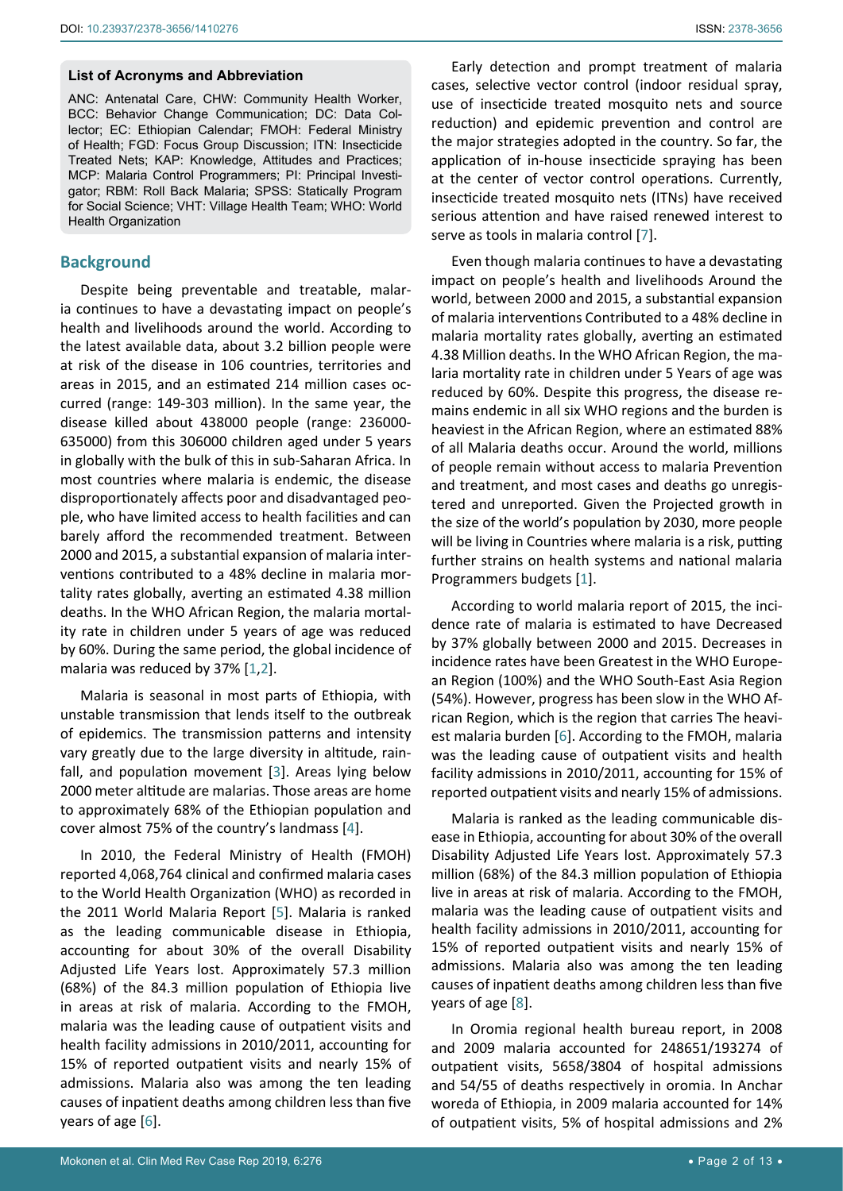#### **List of Acronyms and Abbreviation**

ANC: Antenatal Care, CHW: Community Health Worker, BCC: Behavior Change Communication; DC: Data Collector; EC: Ethiopian Calendar; FMOH: Federal Ministry of Health; FGD: Focus Group Discussion; ITN: Insecticide Treated Nets; KAP: Knowledge, Attitudes and Practices; MCP: Malaria Control Programmers; PI: Principal Investigator; RBM: Roll Back Malaria; SPSS: Statically Program for Social Science; VHT: Village Health Team; WHO: World Health Organization

## **Background**

Despite being preventable and treatable, malaria continues to have a devastating impact on people's health and livelihoods around the world. According to the latest available data, about 3.2 billion people were at risk of the disease in 106 countries, territories and areas in 2015, and an estimated 214 million cases occurred (range: 149-303 million). In the same year, the disease killed about 438000 people (range: 236000- 635000) from this 306000 children aged under 5 years in globally with the bulk of this in sub-Saharan Africa. In most countries where malaria is endemic, the disease disproportionately affects poor and disadvantaged people, who have limited access to health facilities and can barely afford the recommended treatment. Between 2000 and 2015, a substantial expansion of malaria interventions contributed to a 48% decline in malaria mortality rates globally, averting an estimated 4.38 million deaths. In the WHO African Region, the malaria mortality rate in children under 5 years of age was reduced by 60%. During the same period, the global incidence of malaria was reduced by 37% [[1](#page-8-1)[,2](#page-8-4)].

Malaria is seasonal in most parts of Ethiopia, with unstable transmission that lends itself to the outbreak of epidemics. The transmission patterns and intensity vary greatly due to the large diversity in altitude, rainfall, and population movement [[3](#page-8-5)]. Areas lying below 2000 meter altitude are malarias. Those areas are home to approximately 68% of the Ethiopian population and cover almost 75% of the country's landmass [\[4\]](#page-8-6).

In 2010, the Federal Ministry of Health (FMOH) reported 4,068,764 clinical and confirmed malaria cases to the World Health Organization (WHO) as recorded in the 2011 World Malaria Report [\[5\]](#page-8-7). Malaria is ranked as the leading communicable disease in Ethiopia, accounting for about 30% of the overall Disability Adjusted Life Years lost. Approximately 57.3 million (68%) of the 84.3 million population of Ethiopia live in areas at risk of malaria. According to the FMOH, malaria was the leading cause of outpatient visits and health facility admissions in 2010/2011, accounting for 15% of reported outpatient visits and nearly 15% of admissions. Malaria also was among the ten leading causes of inpatient deaths among children less than five years of age [\[6\]](#page-8-2).

Early detection and prompt treatment of malaria cases, selective vector control (indoor residual spray, use of insecticide treated mosquito nets and source reduction) and epidemic prevention and control are the major strategies adopted in the country. So far, the application of in-house insecticide spraying has been at the center of vector control operations. Currently, insecticide treated mosquito nets (ITNs) have received serious attention and have raised renewed interest to serve as tools in malaria control [[7](#page-8-0)].

Even though malaria continues to have a devastating impact on people's health and livelihoods Around the world, between 2000 and 2015, a substantial expansion of malaria interventions Contributed to a 48% decline in malaria mortality rates globally, averting an estimated 4.38 Million deaths. In the WHO African Region, the malaria mortality rate in children under 5 Years of age was reduced by 60%. Despite this progress, the disease remains endemic in all six WHO regions and the burden is heaviest in the African Region, where an estimated 88% of all Malaria deaths occur. Around the world, millions of people remain without access to malaria Prevention and treatment, and most cases and deaths go unregistered and unreported. Given the Projected growth in the size of the world's population by 2030, more people will be living in Countries where malaria is a risk, putting further strains on health systems and national malaria Programmers budgets [[1](#page-8-1)].

According to world malaria report of 2015, the incidence rate of malaria is estimated to have Decreased by 37% globally between 2000 and 2015. Decreases in incidence rates have been Greatest in the WHO European Region (100%) and the WHO South-East Asia Region (54%). However, progress has been slow in the WHO African Region, which is the region that carries The heaviest malaria burden [[6](#page-8-2)]. According to the FMOH, malaria was the leading cause of outpatient visits and health facility admissions in 2010/2011, accounting for 15% of reported outpatient visits and nearly 15% of admissions.

Malaria is ranked as the leading communicable disease in Ethiopia, accounting for about 30% of the overall Disability Adjusted Life Years lost. Approximately 57.3 million (68%) of the 84.3 million population of Ethiopia live in areas at risk of malaria. According to the FMOH, malaria was the leading cause of outpatient visits and health facility admissions in 2010/2011, accounting for 15% of reported outpatient visits and nearly 15% of admissions. Malaria also was among the ten leading causes of inpatient deaths among children less than five years of age [\[8](#page-8-3)].

In Oromia regional health bureau report, in 2008 and 2009 malaria accounted for 248651/193274 of outpatient visits, 5658/3804 of hospital admissions and 54/55 of deaths respectively in oromia. In Anchar woreda of Ethiopia, in 2009 malaria accounted for 14% of outpatient visits, 5% of hospital admissions and 2%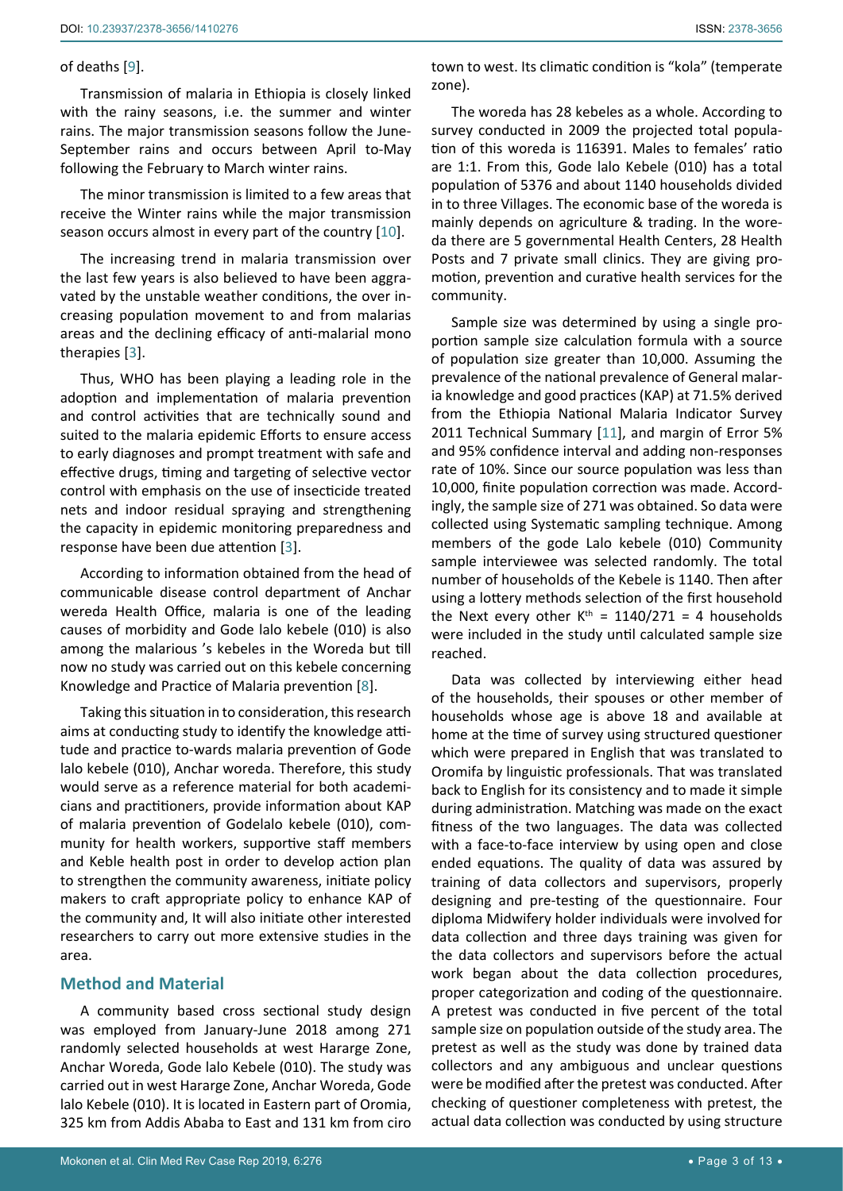#### of deaths [[9](#page-8-9)].

Transmission of malaria in Ethiopia is closely linked with the rainy seasons, i.e. the summer and winter rains. The major transmission seasons follow the June-September rains and occurs between April to-May following the February to March winter rains.

The minor transmission is limited to a few areas that receive the Winter rains while the major transmission season occurs almost in every part of the country [[10](#page-8-10)].

The increasing trend in malaria transmission over the last few years is also believed to have been aggravated by the unstable weather conditions, the over increasing population movement to and from malarias areas and the declining efficacy of anti-malarial mono therapies [[3](#page-8-5)].

Thus, WHO has been playing a leading role in the adoption and implementation of malaria prevention and control activities that are technically sound and suited to the malaria epidemic Efforts to ensure access to early diagnoses and prompt treatment with safe and effective drugs, timing and targeting of selective vector control with emphasis on the use of insecticide treated nets and indoor residual spraying and strengthening the capacity in epidemic monitoring preparedness and response have been due attention [[3](#page-8-5)].

According to information obtained from the head of communicable disease control department of Anchar wereda Health Office, malaria is one of the leading causes of morbidity and Gode lalo kebele (010) is also among the malarious 's kebeles in the Woreda but till now no study was carried out on this kebele concerning Knowledge and Practice of Malaria prevention [\[8\]](#page-8-3).

Taking this situation in to consideration, this research aims at conducting study to identify the knowledge attitude and practice to-wards malaria prevention of Gode lalo kebele (010), Anchar woreda. Therefore, this study would serve as a reference material for both academicians and practitioners, provide information about KAP of malaria prevention of Godelalo kebele (010), community for health workers, supportive staff members and Keble health post in order to develop action plan to strengthen the community awareness, initiate policy makers to craft appropriate policy to enhance KAP of the community and, It will also initiate other interested researchers to carry out more extensive studies in the area.

# **Method and Material**

A community based cross sectional study design was employed from January-June 2018 among 271 randomly selected households at west Hararge Zone, Anchar Woreda, Gode lalo Kebele (010). The study was carried out in west Hararge Zone, Anchar Woreda, Gode lalo Kebele (010). It is located in Eastern part of Oromia, 325 km from Addis Ababa to East and 131 km from ciro town to west. Its climatic condition is "kola" (temperate zone).

The woreda has 28 kebeles as a whole. According to survey conducted in 2009 the projected total population of this woreda is 116391. Males to females' ratio are 1:1. From this, Gode lalo Kebele (010) has a total population of 5376 and about 1140 households divided in to three Villages. The economic base of the woreda is mainly depends on agriculture & trading. In the woreda there are 5 governmental Health Centers, 28 Health Posts and 7 private small clinics. They are giving promotion, prevention and curative health services for the community.

Sample size was determined by using a single proportion sample size calculation formula with a source of population size greater than 10,000. Assuming the prevalence of the national prevalence of General malaria knowledge and good practices (KAP) at 71.5% derived from the Ethiopia National Malaria Indicator Survey 2011 Technical Summary [[11](#page-8-8)], and margin of Error 5% and 95% confidence interval and adding non-responses rate of 10%. Since our source population was less than 10,000, finite population correction was made. Accordingly, the sample size of 271 was obtained. So data were collected using Systematic sampling technique. Among members of the gode Lalo kebele (010) Community sample interviewee was selected randomly. The total number of households of the Kebele is 1140. Then after using a lottery methods selection of the first household the Next every other  $K^{th} = 1140/271 = 4$  households were included in the study until calculated sample size reached.

Data was collected by interviewing either head of the households, their spouses or other member of households whose age is above 18 and available at home at the time of survey using structured questioner which were prepared in English that was translated to Oromifa by linguistic professionals. That was translated back to English for its consistency and to made it simple during administration. Matching was made on the exact fitness of the two languages. The data was collected with a face-to-face interview by using open and close ended equations. The quality of data was assured by training of data collectors and supervisors, properly designing and pre-testing of the questionnaire. Four diploma Midwifery holder individuals were involved for data collection and three days training was given for the data collectors and supervisors before the actual work began about the data collection procedures, proper categorization and coding of the questionnaire. A pretest was conducted in five percent of the total sample size on population outside of the study area. The pretest as well as the study was done by trained data collectors and any ambiguous and unclear questions were be modified after the pretest was conducted. After checking of questioner completeness with pretest, the actual data collection was conducted by using structure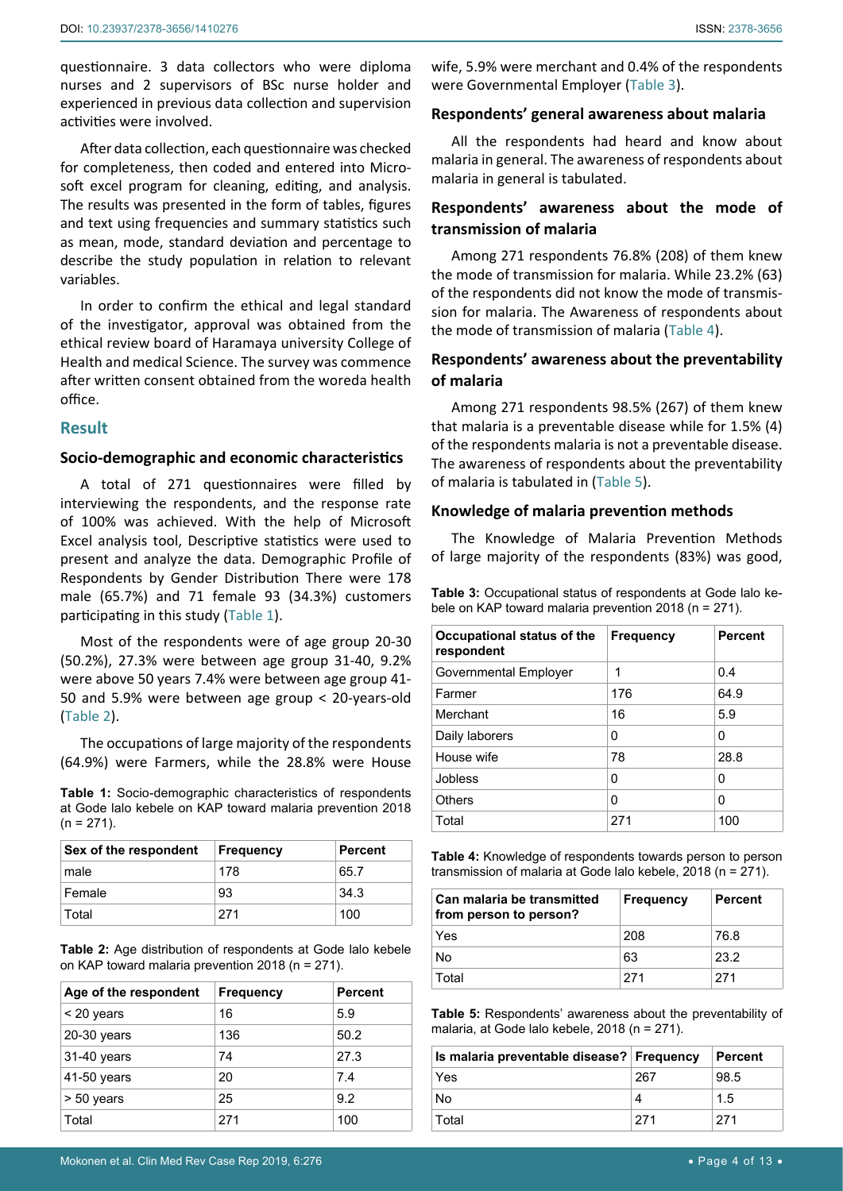questionnaire. 3 data collectors who were diploma nurses and 2 supervisors of BSc nurse holder and experienced in previous data collection and supervision activities were involved.

After data collection, each questionnaire was checked for completeness, then coded and entered into Microsoft excel program for cleaning, editing, and analysis. The results was presented in the form of tables, figures and text using frequencies and summary statistics such as mean, mode, standard deviation and percentage to describe the study population in relation to relevant variables.

In order to confirm the ethical and legal standard of the investigator, approval was obtained from the ethical review board of Haramaya university College of Health and medical Science. The survey was commence after written consent obtained from the woreda health office.

## **Result**

## **Socio-demographic and economic characteristics**

A total of 271 questionnaires were filled by interviewing the respondents, and the response rate of 100% was achieved. With the help of Microsoft Excel analysis tool, Descriptive statistics were used to present and analyze the data. Demographic Profile of Respondents by Gender Distribution There were 178 male (65.7%) and 71 female 93 (34.3%) customers participating in this study (Table 1).

Most of the respondents were of age group 20-30 (50.2%), 27.3% were between age group 31-40, 9.2% were above 50 years 7.4% were between age group 41- 50 and 5.9% were between age group < 20-years-old (Table 2).

The occupations of large majority of the respondents (64.9%) were Farmers, while the 28.8% were House

**Table 1:** Socio-demographic characteristics of respondents at Gode lalo kebele on KAP toward malaria prevention 2018  $(n = 271)$ .

| Sex of the respondent | Frequency | <b>Percent</b> |
|-----------------------|-----------|----------------|
| male                  | 178       | 65.7           |
| Female                | 93        | 34.3           |
| Total                 | 271       | 100            |

**Table 2:** Age distribution of respondents at Gode lalo kebele on KAP toward malaria prevention 2018 (n = 271).

| Age of the respondent | <b>Frequency</b> | <b>Percent</b> |
|-----------------------|------------------|----------------|
| $<$ 20 years          | 16               | 5.9            |
| 20-30 years           | 136              | 50.2           |
| 31-40 years           | 74               | 27.3           |
| 41-50 years           | 20               | 7.4            |
| $> 50$ years          | 25               | 9.2            |
| Total                 | 271              | 100            |

wife, 5.9% were merchant and 0.4% of the respondents were Governmental Employer (Table 3).

#### **Respondents' general awareness about malaria**

All the respondents had heard and know about malaria in general. The awareness of respondents about malaria in general is tabulated.

# **Respondents' awareness about the mode of transmission of malaria**

Among 271 respondents 76.8% (208) of them knew the mode of transmission for malaria. While 23.2% (63) of the respondents did not know the mode of transmission for malaria. The Awareness of respondents about the mode of transmission of malaria (Table 4).

# **Respondents' awareness about the preventability of malaria**

Among 271 respondents 98.5% (267) of them knew that malaria is a preventable disease while for 1.5% (4) of the respondents malaria is not a preventable disease. The awareness of respondents about the preventability of malaria is tabulated in (Table 5).

#### **Knowledge of malaria prevention methods**

The Knowledge of Malaria Prevention Methods of large majority of the respondents (83%) was good,

**Table 3:** Occupational status of respondents at Gode lalo kebele on KAP toward malaria prevention 2018 (n = 271).

| Occupational status of the<br>respondent | <b>Frequency</b> | <b>Percent</b> |
|------------------------------------------|------------------|----------------|
| Governmental Employer                    | 1                | 0.4            |
| Farmer                                   | 176              | 64.9           |
| Merchant                                 | 16               | 5.9            |
| Daily laborers                           | 0                | 0              |
| House wife                               | 78               | 28.8           |
| Jobless                                  | 0                | 0              |
| Others                                   | 0                | O              |
| Total                                    | 271              | 100            |

**Table 4:** Knowledge of respondents towards person to person transmission of malaria at Gode lalo kebele, 2018 (n = 271).

| Can malaria be transmitted<br>from person to person? | <b>Frequency</b> | <b>Percent</b> |
|------------------------------------------------------|------------------|----------------|
| Yes                                                  | 208              | 76.8           |
| No                                                   | 63               | 23.2           |
| Total                                                | 271              | 271            |

**Table 5:** Respondents' awareness about the preventability of malaria, at Gode lalo kebele, 2018 (n = 271).

| Is malaria preventable disease? Frequency |     | Percent |
|-------------------------------------------|-----|---------|
| Yes                                       | 267 | 98.5    |
| No                                        |     | 1.5     |
| Total                                     | 271 | 271     |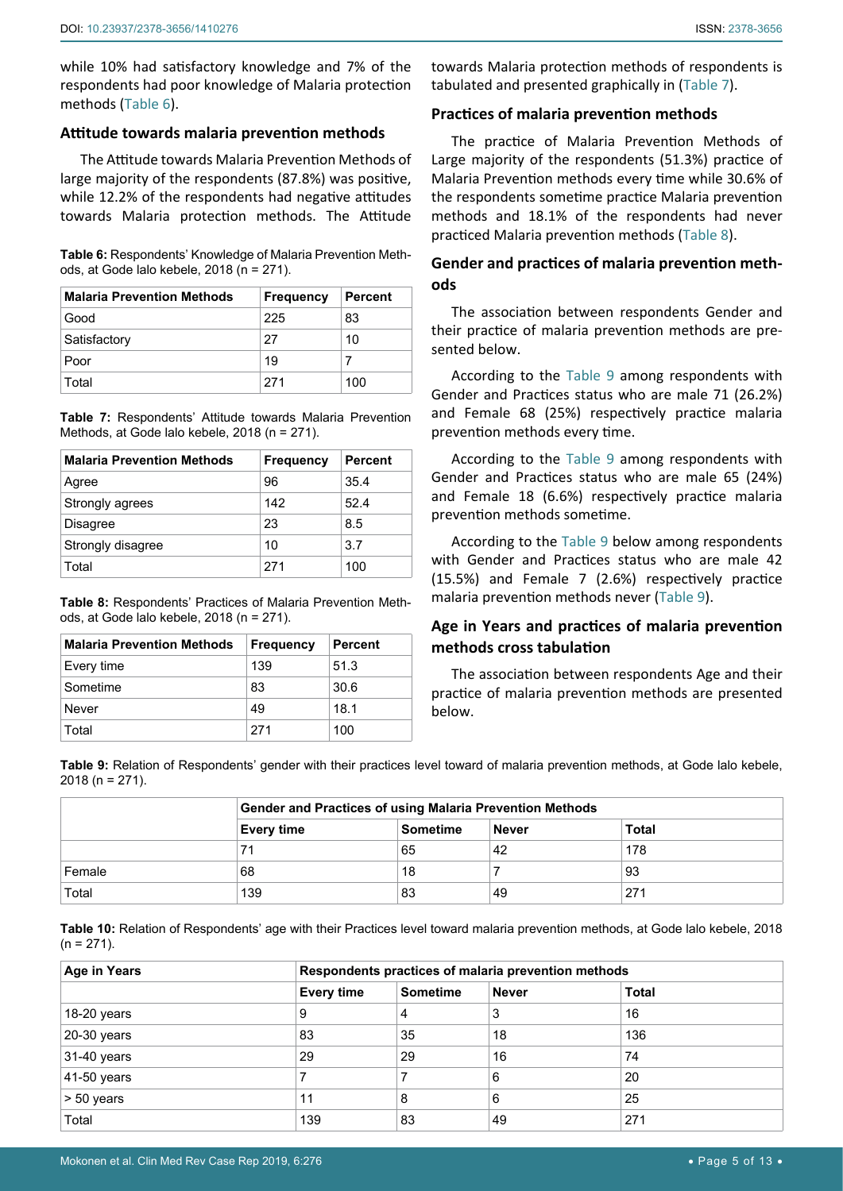while 10% had satisfactory knowledge and 7% of the respondents had poor knowledge of Malaria protection methods (Table 6).

## **Attitude towards malaria prevention methods**

The Attitude towards Malaria Prevention Methods of large majority of the respondents (87.8%) was positive, while 12.2% of the respondents had negative attitudes towards Malaria protection methods. The Attitude

**Table 6:** Respondents' Knowledge of Malaria Prevention Methods, at Gode lalo kebele, 2018 (n = 271).

| <b>Malaria Prevention Methods</b> | <b>Frequency</b> | <b>Percent</b> |
|-----------------------------------|------------------|----------------|
| Good                              | 225              | 83             |
| Satisfactory                      | 27               | 10             |
| Poor                              | 19               |                |
| Total                             | 271              | 100            |

**Table 7:** Respondents' Attitude towards Malaria Prevention Methods, at Gode lalo kebele, 2018 (n = 271).

| <b>Malaria Prevention Methods</b> | <b>Frequency</b> | <b>Percent</b> |
|-----------------------------------|------------------|----------------|
| Agree                             | 96               | 35.4           |
| Strongly agrees                   | 142              | 52.4           |
| <b>Disagree</b>                   | 23               | 8.5            |
| Strongly disagree                 | 10               | 3.7            |
| Total                             | 271              | 100            |

**Table 8:** Respondents' Practices of Malaria Prevention Methods, at Gode lalo kebele, 2018 (n = 271).

| <b>Malaria Prevention Methods</b> | <b>Frequency</b> | <b>Percent</b> |
|-----------------------------------|------------------|----------------|
| Every time                        | 139              | 51.3           |
| Sometime                          | 83               | 30.6           |
| Never                             | 49               | 18.1           |
| Total                             | 271              | 100            |

towards Malaria protection methods of respondents is tabulated and presented graphically in (Table 7).

# **Practices of malaria prevention methods**

The practice of Malaria Prevention Methods of Large majority of the respondents (51.3%) practice of Malaria Prevention methods every time while 30.6% of the respondents sometime practice Malaria prevention methods and 18.1% of the respondents had never practiced Malaria prevention methods (Table 8).

# **Gender and practices of malaria prevention methods**

The association between respondents Gender and their practice of malaria prevention methods are presented below.

According to the Table 9 among respondents with Gender and Practices status who are male 71 (26.2%) and Female 68 (25%) respectively practice malaria prevention methods every time.

According to the Table 9 among respondents with Gender and Practices status who are male 65 (24%) and Female 18 (6.6%) respectively practice malaria prevention methods sometime.

According to the Table 9 below among respondents with Gender and Practices status who are male 42 (15.5%) and Female 7 (2.6%) respectively practice malaria prevention methods never (Table 9).

# **Age in Years and practices of malaria prevention methods cross tabulation**

The association between respondents Age and their practice of malaria prevention methods are presented below.

**Table 9:** Relation of Respondents' gender with their practices level toward of malaria prevention methods, at Gode lalo kebele, 2018 (n = 271).

|        | <b>Gender and Practices of using Malaria Prevention Methods</b>      |    |    |     |  |
|--------|----------------------------------------------------------------------|----|----|-----|--|
|        | <b>Total</b><br><b>Sometime</b><br><b>Never</b><br><b>Every time</b> |    |    |     |  |
|        | 71                                                                   | 65 | 42 | 178 |  |
| Female | 68                                                                   | 18 |    | 93  |  |
| Total  | 139                                                                  | 83 | 49 | 271 |  |

**Table 10:** Relation of Respondents' age with their Practices level toward malaria prevention methods, at Gode lalo kebele, 2018  $(n = 271)$ .

| Age in Years  | Respondents practices of malaria prevention methods |                 |              |              |
|---------------|-----------------------------------------------------|-----------------|--------------|--------------|
|               | <b>Every time</b>                                   | <b>Sometime</b> | <b>Never</b> | <b>Total</b> |
| $18-20$ years | 9                                                   | 4               | 3            | 16           |
| 20-30 years   | 83                                                  | 35              | 18           | 136          |
| 31-40 years   | 29                                                  | 29              | 16           | 74           |
| 41-50 years   |                                                     |                 | 6            | 20           |
| > 50 years    | 11                                                  | 8               | 6            | 25           |
| Total         | 139                                                 | 83              | 49           | 271          |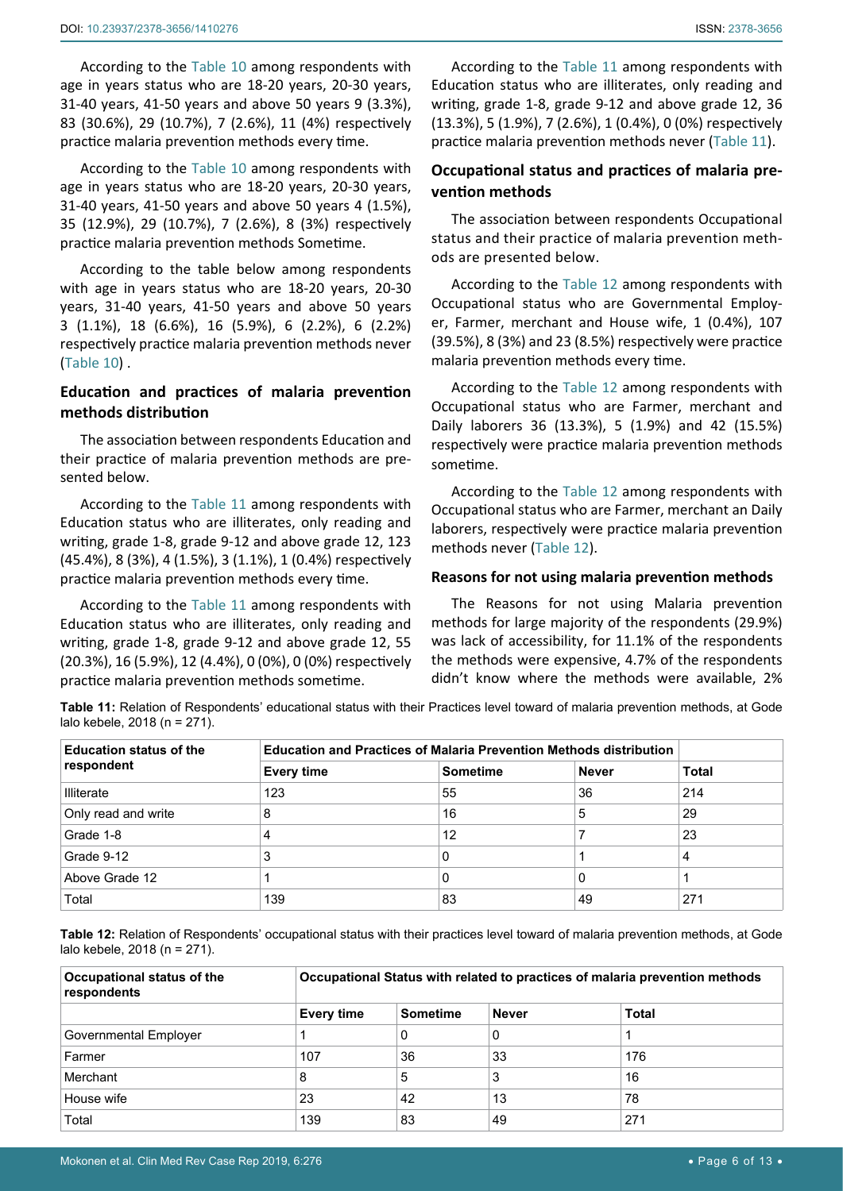According to the Table 10 among respondents with age in years status who are 18-20 years, 20-30 years, 31-40 years, 41-50 years and above 50 years 9 (3.3%), 83 (30.6%), 29 (10.7%), 7 (2.6%), 11 (4%) respectively practice malaria prevention methods every time.

According to the Table 10 among respondents with age in years status who are 18-20 years, 20-30 years, 31-40 years, 41-50 years and above 50 years 4 (1.5%), 35 (12.9%), 29 (10.7%), 7 (2.6%), 8 (3%) respectively practice malaria prevention methods Sometime.

According to the table below among respondents with age in years status who are 18-20 years, 20-30 years, 31-40 years, 41-50 years and above 50 years 3 (1.1%), 18 (6.6%), 16 (5.9%), 6 (2.2%), 6 (2.2%) respectively practice malaria prevention methods never (Table 10) .

# **Education and practices of malaria prevention methods distribution**

The association between respondents Education and their practice of malaria prevention methods are presented below.

According to the Table 11 among respondents with Education status who are illiterates, only reading and writing, grade 1-8, grade 9-12 and above grade 12, 123 (45.4%), 8 (3%), 4 (1.5%), 3 (1.1%), 1 (0.4%) respectively practice malaria prevention methods every time.

According to the Table 11 among respondents with Education status who are illiterates, only reading and writing, grade 1-8, grade 9-12 and above grade 12, 55 (20.3%), 16 (5.9%), 12 (4.4%), 0 (0%), 0 (0%) respectively practice malaria prevention methods sometime.

According to the Table 11 among respondents with Education status who are illiterates, only reading and writing, grade 1-8, grade 9-12 and above grade 12, 36 (13.3%), 5 (1.9%), 7 (2.6%), 1 (0.4%), 0 (0%) respectively practice malaria prevention methods never (Table 11).

# **Occupational status and practices of malaria prevention methods**

The association between respondents Occupational status and their practice of malaria prevention methods are presented below.

According to the Table 12 among respondents with Occupational status who are Governmental Employer, Farmer, merchant and House wife, 1 (0.4%), 107 (39.5%), 8 (3%) and 23 (8.5%) respectively were practice malaria prevention methods every time.

According to the Table 12 among respondents with Occupational status who are Farmer, merchant and Daily laborers 36 (13.3%), 5 (1.9%) and 42 (15.5%) respectively were practice malaria prevention methods sometime.

According to the Table 12 among respondents with Occupational status who are Farmer, merchant an Daily laborers, respectively were practice malaria prevention methods never (Table 12).

#### **Reasons for not using malaria prevention methods**

The Reasons for not using Malaria prevention methods for large majority of the respondents (29.9%) was lack of accessibility, for 11.1% of the respondents the methods were expensive, 4.7% of the respondents didn't know where the methods were available, 2%

**Table 11:** Relation of Respondents' educational status with their Practices level toward of malaria prevention methods, at Gode lalo kebele, 2018 (n = 271).

| <b>Education status of the</b> |                   | <b>Education and Practices of Malaria Prevention Methods distribution</b> |              |              |  |
|--------------------------------|-------------------|---------------------------------------------------------------------------|--------------|--------------|--|
| respondent                     | <b>Every time</b> | <b>Sometime</b>                                                           | <b>Never</b> | <b>Total</b> |  |
| <b>Illiterate</b>              | 123               | 55                                                                        | 36           | 214          |  |
| Only read and write            | 8                 | 16                                                                        | 5            | 29           |  |
| Grade 1-8                      | 4                 | 12                                                                        |              | 23           |  |
| Grade 9-12                     | 3                 | 0                                                                         |              | 4            |  |
| Above Grade 12                 |                   | 0                                                                         | 0            |              |  |
| Total                          | 139               | 83                                                                        | 49           | 271          |  |

**Table 12:** Relation of Respondents' occupational status with their practices level toward of malaria prevention methods, at Gode lalo kebele, 2018 (n = 271).

| Occupational status of the<br>respondents | Occupational Status with related to practices of malaria prevention methods |                 |              |              |
|-------------------------------------------|-----------------------------------------------------------------------------|-----------------|--------------|--------------|
|                                           | <b>Every time</b>                                                           | <b>Sometime</b> | <b>Never</b> | <b>Total</b> |
| Governmental Employer                     |                                                                             | 0               | 0            |              |
| Farmer                                    | 107                                                                         | 36              | 33           | 176          |
| Merchant                                  | 8                                                                           | 5               | 3            | 16           |
| House wife                                | 23                                                                          | 42              | 13           | 78           |
| Total                                     | 139                                                                         | 83              | 49           | 271          |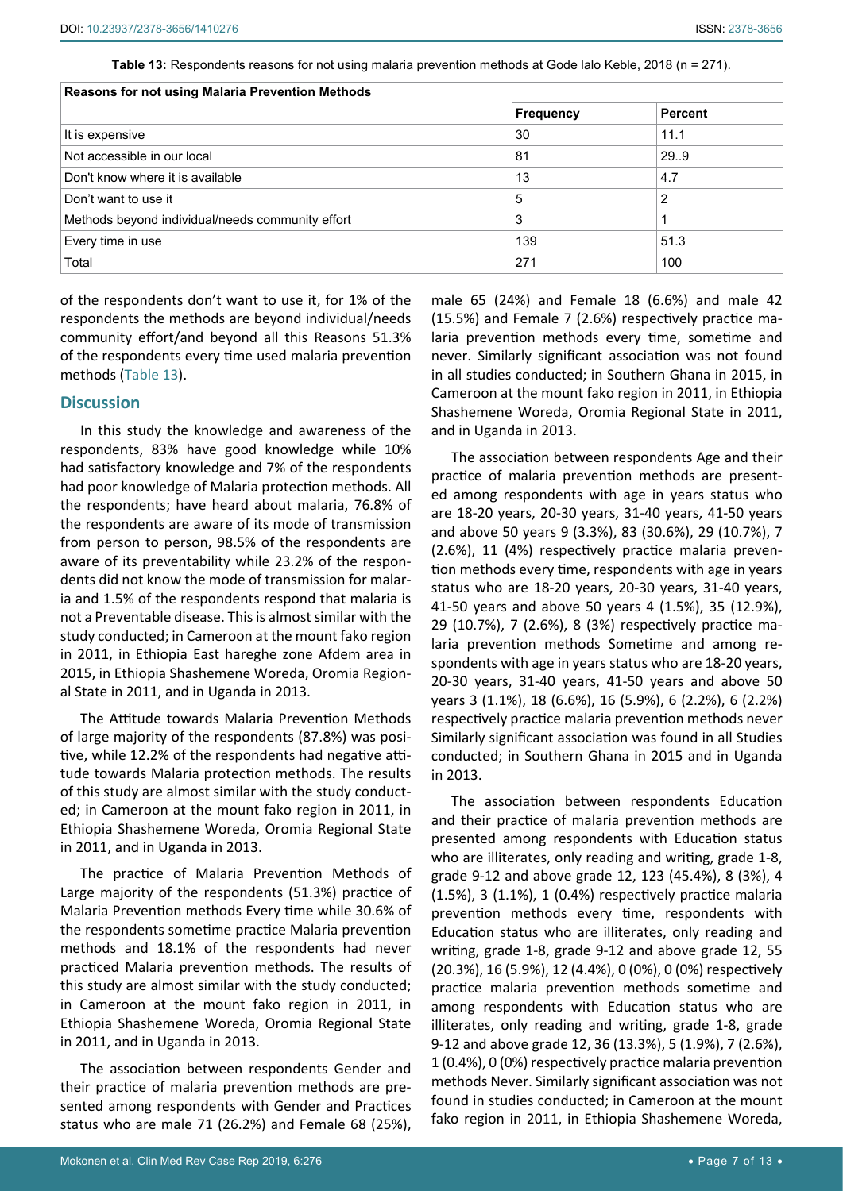**Table 13:** Respondents reasons for not using malaria prevention methods at Gode lalo Keble, 2018 (n = 271).

| Reasons for not using Malaria Prevention Methods |           |                |
|--------------------------------------------------|-----------|----------------|
|                                                  | Frequency | <b>Percent</b> |
| It is expensive                                  | 30        | 11.1           |
| Not accessible in our local                      | 81        | 29.9           |
| Don't know where it is available                 | 13        | 4.7            |
| Don't want to use it                             | 5         | $\overline{2}$ |
| Methods beyond individual/needs community effort | 3         |                |
| Every time in use                                | 139       | 51.3           |
| Total                                            | 271       | 100            |

of the respondents don't want to use it, for 1% of the respondents the methods are beyond individual/needs community effort/and beyond all this Reasons 51.3% of the respondents every time used malaria prevention methods (Table 13).

## **Discussion**

In this study the knowledge and awareness of the respondents, 83% have good knowledge while 10% had satisfactory knowledge and 7% of the respondents had poor knowledge of Malaria protection methods. All the respondents; have heard about malaria, 76.8% of the respondents are aware of its mode of transmission from person to person, 98.5% of the respondents are aware of its preventability while 23.2% of the respondents did not know the mode of transmission for malaria and 1.5% of the respondents respond that malaria is not a Preventable disease. This is almost similar with the study conducted; in Cameroon at the mount fako region in 2011, in Ethiopia East hareghe zone Afdem area in 2015, in Ethiopia Shashemene Woreda, Oromia Regional State in 2011, and in Uganda in 2013.

The Attitude towards Malaria Prevention Methods of large majority of the respondents (87.8%) was positive, while 12.2% of the respondents had negative attitude towards Malaria protection methods. The results of this study are almost similar with the study conducted; in Cameroon at the mount fako region in 2011, in Ethiopia Shashemene Woreda, Oromia Regional State in 2011, and in Uganda in 2013.

The practice of Malaria Prevention Methods of Large majority of the respondents (51.3%) practice of Malaria Prevention methods Every time while 30.6% of the respondents sometime practice Malaria prevention methods and 18.1% of the respondents had never practiced Malaria prevention methods. The results of this study are almost similar with the study conducted; in Cameroon at the mount fako region in 2011, in Ethiopia Shashemene Woreda, Oromia Regional State in 2011, and in Uganda in 2013.

The association between respondents Gender and their practice of malaria prevention methods are presented among respondents with Gender and Practices status who are male 71 (26.2%) and Female 68 (25%),

male 65 (24%) and Female 18 (6.6%) and male 42 (15.5%) and Female 7 (2.6%) respectively practice malaria prevention methods every time, sometime and never. Similarly significant association was not found in all studies conducted; in Southern Ghana in 2015, in Cameroon at the mount fako region in 2011, in Ethiopia Shashemene Woreda, Oromia Regional State in 2011, and in Uganda in 2013.

The association between respondents Age and their practice of malaria prevention methods are presented among respondents with age in years status who are 18-20 years, 20-30 years, 31-40 years, 41-50 years and above 50 years 9 (3.3%), 83 (30.6%), 29 (10.7%), 7 (2.6%), 11 (4%) respectively practice malaria prevention methods every time, respondents with age in years status who are 18-20 years, 20-30 years, 31-40 years, 41-50 years and above 50 years 4 (1.5%), 35 (12.9%), 29 (10.7%), 7 (2.6%), 8 (3%) respectively practice malaria prevention methods Sometime and among respondents with age in years status who are 18-20 years, 20-30 years, 31-40 years, 41-50 years and above 50 years 3 (1.1%), 18 (6.6%), 16 (5.9%), 6 (2.2%), 6 (2.2%) respectively practice malaria prevention methods never Similarly significant association was found in all Studies conducted; in Southern Ghana in 2015 and in Uganda in 2013.

The association between respondents Education and their practice of malaria prevention methods are presented among respondents with Education status who are illiterates, only reading and writing, grade 1-8, grade 9-12 and above grade 12, 123 (45.4%), 8 (3%), 4 (1.5%), 3 (1.1%), 1 (0.4%) respectively practice malaria prevention methods every time, respondents with Education status who are illiterates, only reading and writing, grade 1-8, grade 9-12 and above grade 12, 55 (20.3%), 16 (5.9%), 12 (4.4%), 0 (0%), 0 (0%) respectively practice malaria prevention methods sometime and among respondents with Education status who are illiterates, only reading and writing, grade 1-8, grade 9-12 and above grade 12, 36 (13.3%), 5 (1.9%), 7 (2.6%), 1 (0.4%), 0 (0%) respectively practice malaria prevention methods Never. Similarly significant association was not found in studies conducted; in Cameroon at the mount fako region in 2011, in Ethiopia Shashemene Woreda,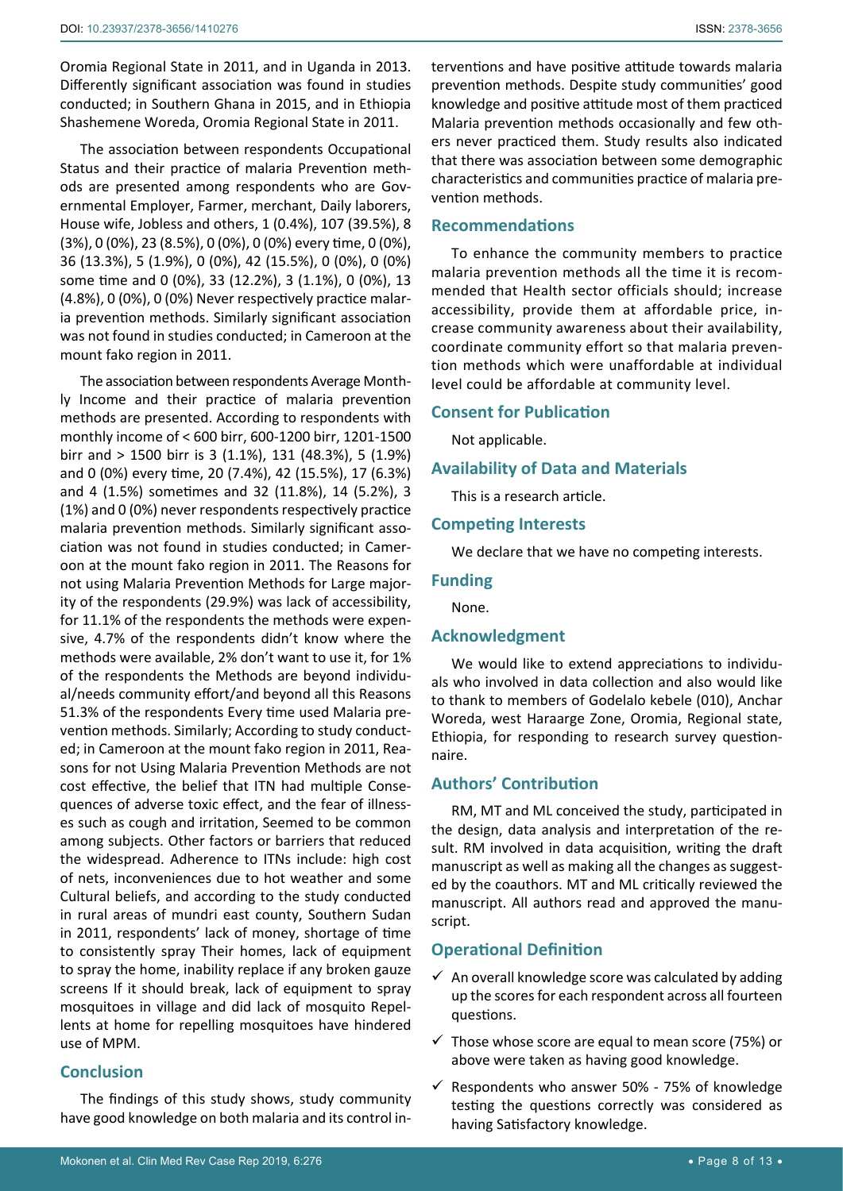Oromia Regional State in 2011, and in Uganda in 2013. Differently significant association was found in studies conducted; in Southern Ghana in 2015, and in Ethiopia Shashemene Woreda, Oromia Regional State in 2011.

The association between respondents Occupational Status and their practice of malaria Prevention methods are presented among respondents who are Governmental Employer, Farmer, merchant, Daily laborers, House wife, Jobless and others, 1 (0.4%), 107 (39.5%), 8 (3%), 0 (0%), 23 (8.5%), 0 (0%), 0 (0%) every time, 0 (0%), 36 (13.3%), 5 (1.9%), 0 (0%), 42 (15.5%), 0 (0%), 0 (0%) some time and 0 (0%), 33 (12.2%), 3 (1.1%), 0 (0%), 13 (4.8%), 0 (0%), 0 (0%) Never respectively practice malaria prevention methods. Similarly significant association was not found in studies conducted; in Cameroon at the mount fako region in 2011.

The association between respondents Average Monthly Income and their practice of malaria prevention methods are presented. According to respondents with monthly income of < 600 birr, 600-1200 birr, 1201-1500 birr and > 1500 birr is 3 (1.1%), 131 (48.3%), 5 (1.9%) and 0 (0%) every time, 20 (7.4%), 42 (15.5%), 17 (6.3%) and 4 (1.5%) sometimes and 32 (11.8%), 14 (5.2%), 3 (1%) and 0 (0%) never respondents respectively practice malaria prevention methods. Similarly significant association was not found in studies conducted; in Cameroon at the mount fako region in 2011. The Reasons for not using Malaria Prevention Methods for Large majority of the respondents (29.9%) was lack of accessibility, for 11.1% of the respondents the methods were expensive, 4.7% of the respondents didn't know where the methods were available, 2% don't want to use it, for 1% of the respondents the Methods are beyond individual/needs community effort/and beyond all this Reasons 51.3% of the respondents Every time used Malaria prevention methods. Similarly; According to study conducted; in Cameroon at the mount fako region in 2011, Reasons for not Using Malaria Prevention Methods are not cost effective, the belief that ITN had multiple Consequences of adverse toxic effect, and the fear of illnesses such as cough and irritation, Seemed to be common among subjects. Other factors or barriers that reduced the widespread. Adherence to ITNs include: high cost of nets, inconveniences due to hot weather and some Cultural beliefs, and according to the study conducted in rural areas of mundri east county, Southern Sudan in 2011, respondents' lack of money, shortage of time to consistently spray Their homes, lack of equipment to spray the home, inability replace if any broken gauze screens If it should break, lack of equipment to spray mosquitoes in village and did lack of mosquito Repellents at home for repelling mosquitoes have hindered use of MPM.

## **Conclusion**

The findings of this study shows, study community have good knowledge on both malaria and its control interventions and have positive attitude towards malaria prevention methods. Despite study communities' good knowledge and positive attitude most of them practiced Malaria prevention methods occasionally and few others never practiced them. Study results also indicated that there was association between some demographic characteristics and communities practice of malaria prevention methods.

## **Recommendations**

To enhance the community members to practice malaria prevention methods all the time it is recommended that Health sector officials should; increase accessibility, provide them at affordable price, increase community awareness about their availability, coordinate community effort so that malaria prevention methods which were unaffordable at individual level could be affordable at community level.

# **Consent for Publication**

Not applicable.

## **Availability of Data and Materials**

This is a research article.

## **Competing Interests**

We declare that we have no competing interests.

## **Funding**

None.

## **Acknowledgment**

We would like to extend appreciations to individuals who involved in data collection and also would like to thank to members of Godelalo kebele (010), Anchar Woreda, west Haraarge Zone, Oromia, Regional state, Ethiopia, for responding to research survey questionnaire.

# **Authors' Contribution**

RM, MT and ML conceived the study, participated in the design, data analysis and interpretation of the result. RM involved in data acquisition, writing the draft manuscript as well as making all the changes as suggested by the coauthors. MT and ML critically reviewed the manuscript. All authors read and approved the manuscript.

# **Operational Definition**

- $\checkmark$  An overall knowledge score was calculated by adding up the scores for each respondent across all fourteen questions.
- $\checkmark$  Those whose score are equal to mean score (75%) or above were taken as having good knowledge.
- $\checkmark$  Respondents who answer 50% 75% of knowledge testing the questions correctly was considered as having Satisfactory knowledge.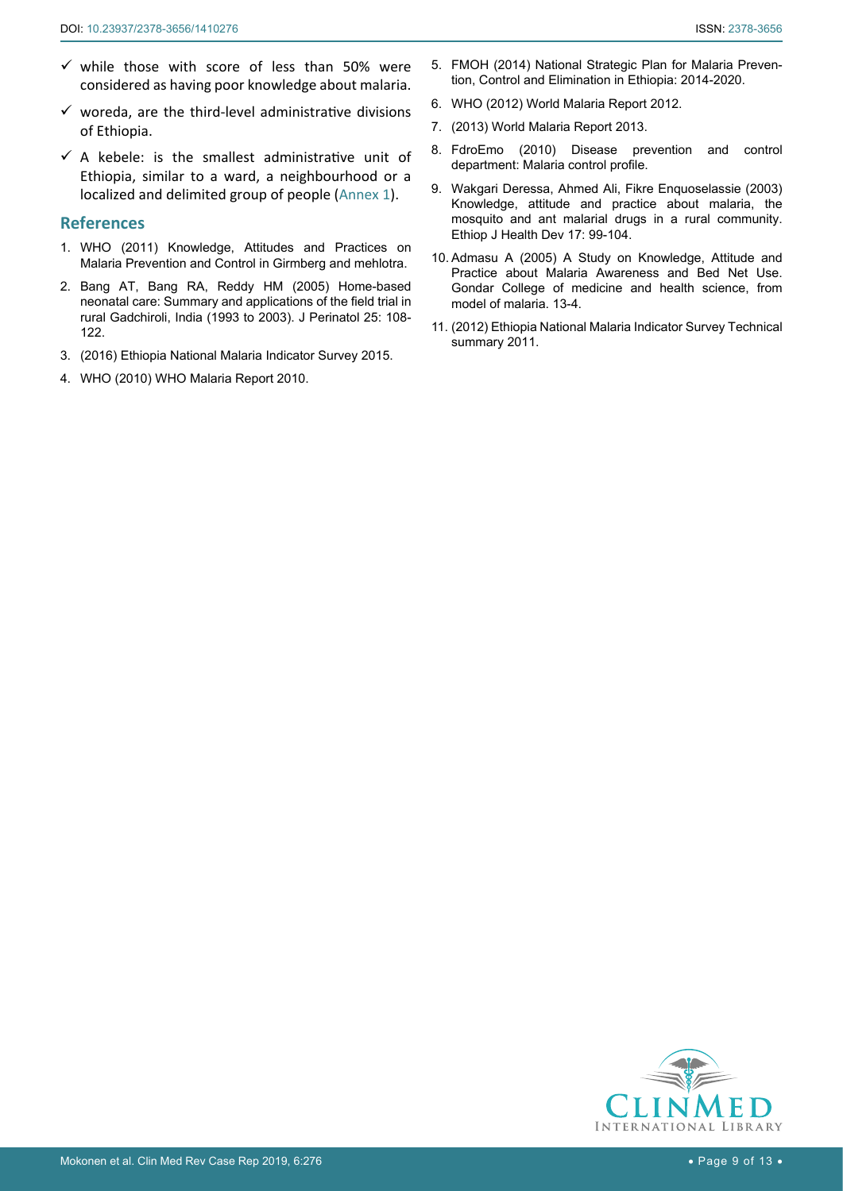- $\checkmark$  while those with score of less than 50% were considered as having poor knowledge about malaria.
- $\checkmark$  woreda, are the third-level administrative divisions of Ethiopia.
- $\checkmark$  A kebele: is the smallest administrative unit of Ethiopia, similar to a ward, a neighbourhood or a localized and delimited group of people ([Annex 1\)](#page-9-0).

## **References**

- <span id="page-8-1"></span>1. WHO (2011) Knowledge, Attitudes and Practices on Malaria Prevention and Control in Girmberg and mehlotra.
- <span id="page-8-4"></span>2. [Bang AT, Bang RA, Reddy HM \(2005\) Home-based](https://www.ncbi.nlm.nih.gov/pubmed/15791272)  [neonatal care: Summary and applications of the field trial in](https://www.ncbi.nlm.nih.gov/pubmed/15791272)  [rural Gadchiroli, India \(1993 to 2003\). J Perinatol 25: 108-](https://www.ncbi.nlm.nih.gov/pubmed/15791272) [122.](https://www.ncbi.nlm.nih.gov/pubmed/15791272)
- <span id="page-8-5"></span>3. [\(2016\) Ethiopia National Malaria Indicator Survey 2015.](https://www.ephi.gov.et/images/pictures/download2009/MIS-2015-Final-Report-December-_2016.pdf)
- <span id="page-8-6"></span>4. [WHO \(2010\) WHO Malaria Report 2010.](https://www.who.int/malaria/world_malaria_report_2010/en/)
- <span id="page-8-7"></span>5. FMOH (2014) National Strategic Plan for Malaria Prevention, Control and Elimination in Ethiopia: 2014-2020.
- <span id="page-8-2"></span>6. [WHO \(2012\) World Malaria Report 2012.](https://www.who.int/malaria/publications/world_malaria_report_2012/en/)
- <span id="page-8-0"></span>7. [\(2013\) World Malaria Report 2013.](https://www.who.int/malaria/publications/world_malaria_report_2013/en/)
- <span id="page-8-3"></span>8. FdroEmo (2010) Disease prevention and control department: Malaria control profile.
- <span id="page-8-9"></span>9. [Wakgari Deressa, Ahmed Ali, Fikre Enquoselassie \(2003\)](https://www.ajol.info/index.php/ejhd/article/view/9849)  [Knowledge, attitude and practice about malaria, the](https://www.ajol.info/index.php/ejhd/article/view/9849)  [mosquito and ant malarial drugs in a rural community.](https://www.ajol.info/index.php/ejhd/article/view/9849)  [Ethiop J Health Dev 17: 99-104.](https://www.ajol.info/index.php/ejhd/article/view/9849)
- <span id="page-8-10"></span>10. Admasu A (2005) A Study on Knowledge, Attitude and Practice about Malaria Awareness and Bed Net Use. Gondar College of medicine and health science, from model of malaria. 13-4.
- <span id="page-8-8"></span>11. [\(2012\) Ethiopia National Malaria Indicator Survey Technical](https://www.ephi.gov.et/images/downloads/2011ethiopiamistechsummary.pdf)  [summary 2011.](https://www.ephi.gov.et/images/downloads/2011ethiopiamistechsummary.pdf)

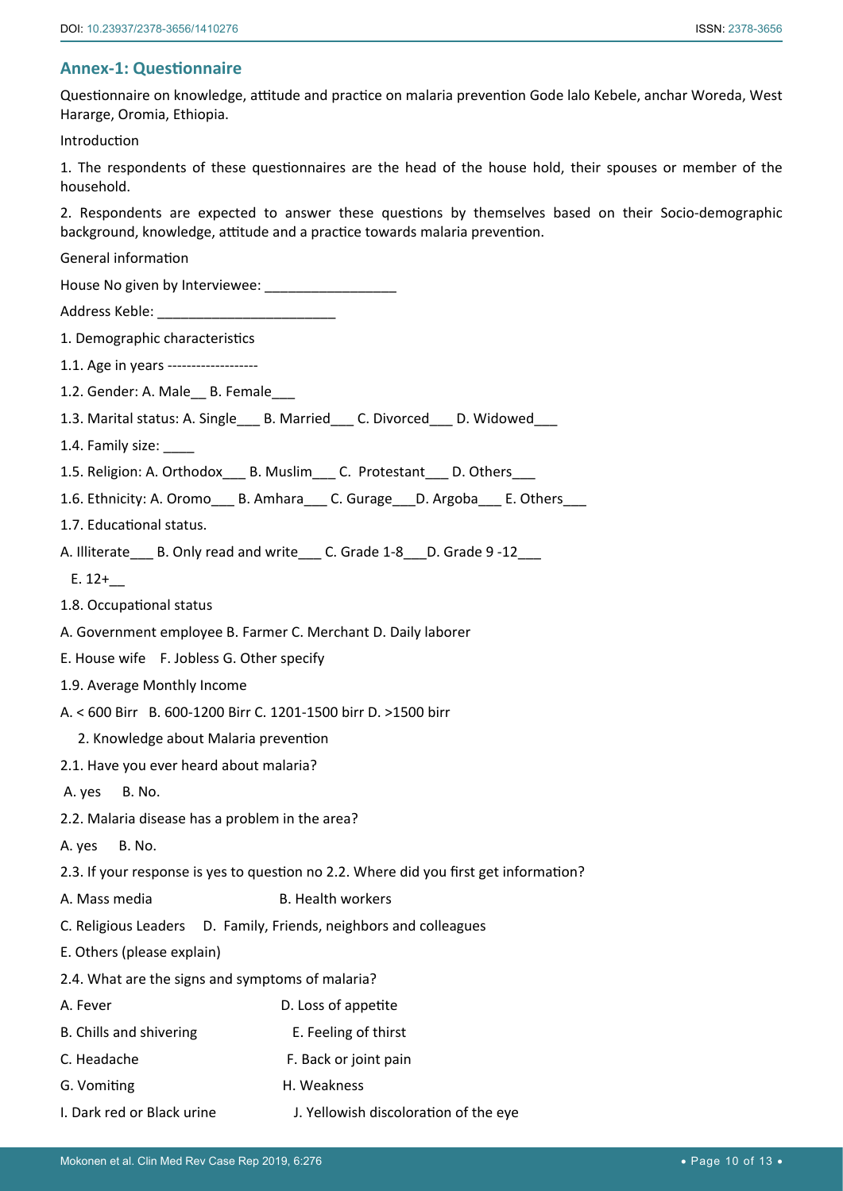# <span id="page-9-0"></span>**Annex-1: Questionnaire**

Questionnaire on knowledge, attitude and practice on malaria prevention Gode lalo Kebele, anchar Woreda, West Hararge, Oromia, Ethiopia.

Introduction

1. The respondents of these questionnaires are the head of the house hold, their spouses or member of the household.

2. Respondents are expected to answer these questions by themselves based on their Socio-demographic background, knowledge, attitude and a practice towards malaria prevention.

General information

House No given by Interviewee: \_\_\_\_\_

Address Keble: \_\_\_\_\_\_\_\_\_\_\_\_\_\_\_\_\_\_\_\_\_\_\_

1. Demographic characteristics

1.1. Age in years -------------------

1.2. Gender: A. Male B. Female

- 1.3. Marital status: A. Single\_\_\_ B. Married\_\_\_ C. Divorced\_\_\_ D. Widowed\_\_\_
- 1.4. Family size:
- 1.5. Religion: A. Orthodox\_\_\_ B. Muslim\_\_\_ C. Protestant \_\_ D. Others
- 1.6. Ethnicity: A. Oromo B. Amhara C. Gurage D. Argoba E. Others
- 1.7. Educational status.

A. Illiterate B. Only read and write C. Grade 1-8 D. Grade 9 -12

- E. 12+\_\_
- 1.8. Occupational status
- A. Government employee B. Farmer C. Merchant D. Daily laborer
- E. House wife F. Jobless G. Other specify
- 1.9. Average Monthly Income
- A. < 600 Birr B. 600-1200 Birr C. 1201-1500 birr D. >1500 birr
	- 2. Knowledge about Malaria prevention
- 2.1. Have you ever heard about malaria?
- A. yes B. No.
- 2.2. Malaria disease has a problem in the area?
- A. yes B. No.
- 2.3. If your response is yes to question no 2.2. Where did you first get information?
- A. Mass media B. Health workers
- C. Religious Leaders D. Family, Friends, neighbors and colleagues
- E. Others (please explain)
- 2.4. What are the signs and symptoms of malaria?
- A. Fever **D. Loss of appetite**
- B. Chills and shivering E. Feeling of thirst
- C. Headache F. Back or joint pain
- G. Vomiting The Meakness
- I. Dark red or Black urine J. Yellowish discoloration of the eye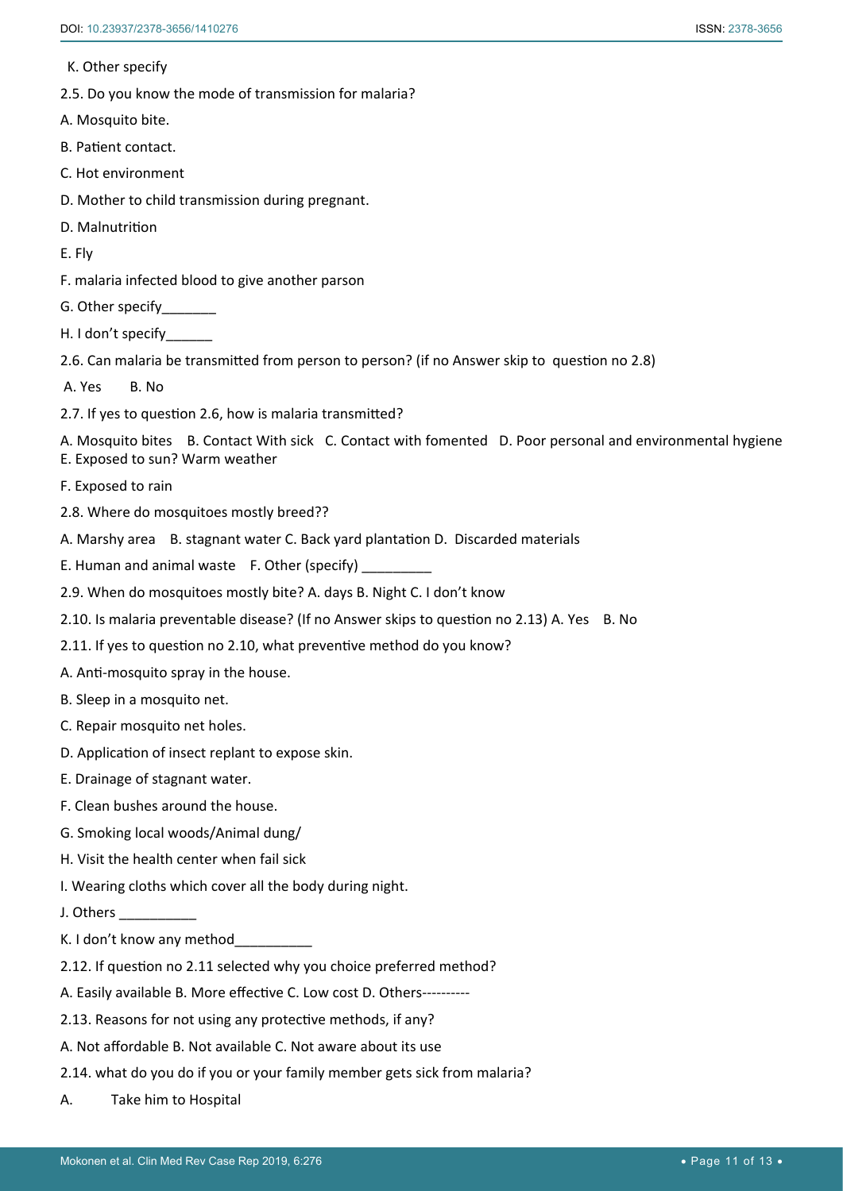K. Other specify

- 2.5. Do you know the mode of transmission for malaria?
- A. Mosquito bite.
- B. Patient contact.
- C. Hot environment
- D. Mother to child transmission during pregnant.
- D. Malnutrition
- E. Fly
- F. malaria infected blood to give another parson
- G. Other specify\_\_\_\_\_\_\_
- H. I don't specify\_\_\_\_\_\_
- 2.6. Can malaria be transmitted from person to person? (if no Answer skip to question no 2.8)
- A. Yes B. No.
- 2.7. If yes to question 2.6, how is malaria transmitted?

A. Mosquito bites B. Contact With sick C. Contact with fomented D. Poor personal and environmental hygiene

- E. Exposed to sun? Warm weather
- F. Exposed to rain
- 2.8. Where do mosquitoes mostly breed??
- A. Marshy area B. stagnant water C. Back yard plantation D. Discarded materials
- E. Human and animal waste  $F.$  Other (specify)
- 2.9. When do mosquitoes mostly bite? A. days B. Night C. I don't know
- 2.10. Is malaria preventable disease? (If no Answer skips to question no 2.13) A. Yes B. No
- 2.11. If yes to question no 2.10, what preventive method do you know?
- A. Anti-mosquito spray in the house.
- B. Sleep in a mosquito net.
- C. Repair mosquito net holes.
- D. Application of insect replant to expose skin.
- E. Drainage of stagnant water.
- F. Clean bushes around the house.
- G. Smoking local woods/Animal dung/
- H. Visit the health center when fail sick
- I. Wearing cloths which cover all the body during night.
- J. Others
- K. I don't know any method
- 2.12. If question no 2.11 selected why you choice preferred method?
- A. Easily available B. More effective C. Low cost D. Others----------
- 2.13. Reasons for not using any protective methods, if any?
- A. Not affordable B. Not available C. Not aware about its use
- 2.14. what do you do if you or your family member gets sick from malaria?
- A. Take him to Hospital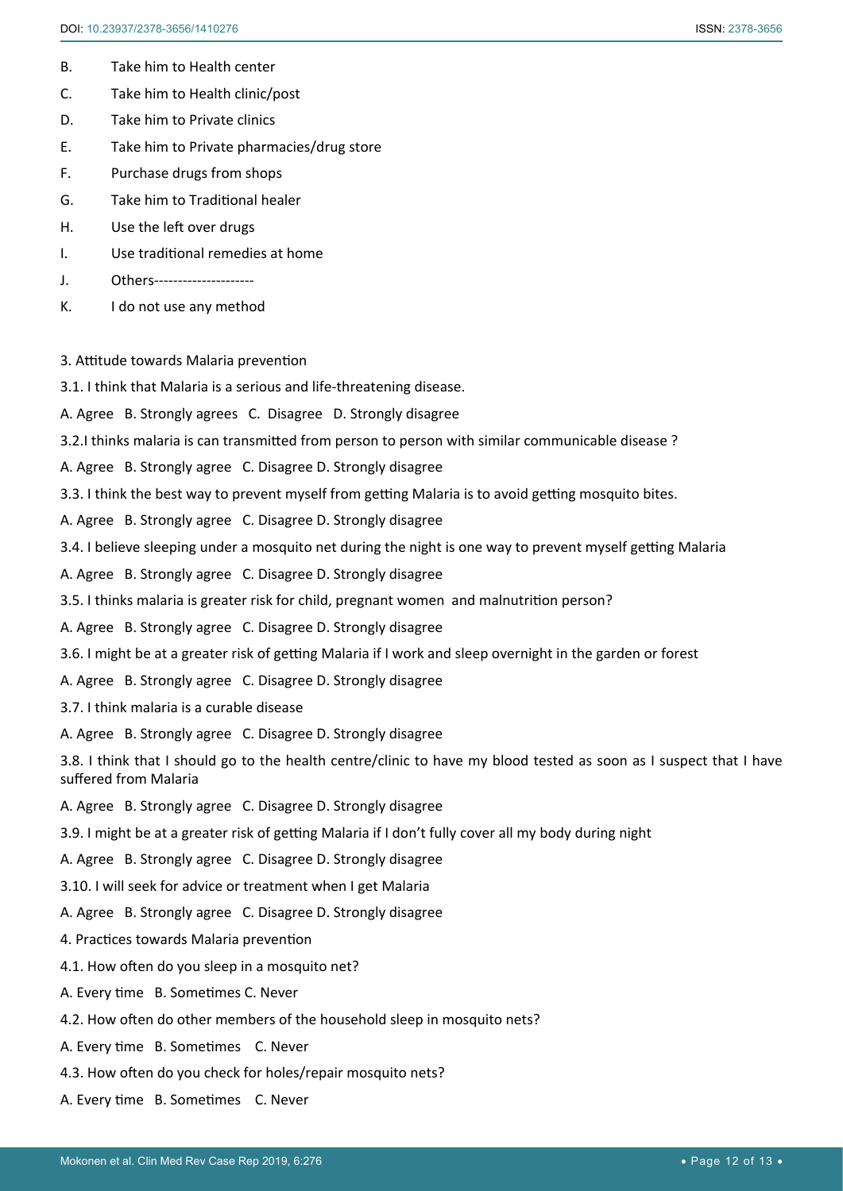- B. Take him to Health center
- C. Take him to Health clinic/post
- D. Take him to Private clinics
- E. Take him to Private pharmacies/drug store
- F. Purchase drugs from shops
- G. Take him to Traditional healer
- H. Use the left over drugs
- I. Use traditional remedies at home
- J. Others---------------------
- K. I do not use any method
- 3. Attitude towards Malaria prevention
- 3.1. I think that Malaria is a serious and life-threatening disease.
- A. Agree B. Strongly agrees C. Disagree D. Strongly disagree
- 3.2.I thinks malaria is can transmitted from person to person with similar communicable disease ?
- A. Agree B. Strongly agree C. Disagree D. Strongly disagree
- 3.3. I think the best way to prevent myself from getting Malaria is to avoid getting mosquito bites.
- A. Agree B. Strongly agree C. Disagree D. Strongly disagree
- 3.4. I believe sleeping under a mosquito net during the night is one way to prevent myself getting Malaria
- A. Agree B. Strongly agree C. Disagree D. Strongly disagree
- 3.5. I thinks malaria is greater risk for child, pregnant women and malnutrition person?
- A. Agree B. Strongly agree C. Disagree D. Strongly disagree
- 3.6. I might be at a greater risk of getting Malaria if I work and sleep overnight in the garden or forest
- A. Agree B. Strongly agree C. Disagree D. Strongly disagree
- 3.7. I think malaria is a curable disease
- A. Agree B. Strongly agree C. Disagree D. Strongly disagree

3.8. I think that I should go to the health centre/clinic to have my blood tested as soon as I suspect that I have suffered from Malaria

- A. Agree B. Strongly agree C. Disagree D. Strongly disagree
- 3.9. I might be at a greater risk of getting Malaria if I don't fully cover all my body during night
- A. Agree B. Strongly agree C. Disagree D. Strongly disagree
- 3.10. I will seek for advice or treatment when I get Malaria
- A. Agree B. Strongly agree C. Disagree D. Strongly disagree
- 4. Practices towards Malaria prevention
- 4.1. How often do you sleep in a mosquito net?
- A. Every time B. Sometimes C. Never
- 4.2. How often do other members of the household sleep in mosquito nets?
- A. Every time B. Sometimes C. Never
- 4.3. How often do you check for holes/repair mosquito nets?
- A. Every time B. Sometimes C. Never